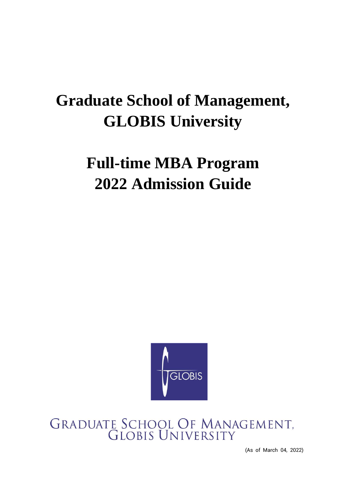# **Graduate School of Management, GLOBIS University**

# **Full-time MBA Program 2022 Admission Guide**



# GRADUATE SCHOOL OF MANAGEMENT,<br>GLOBIS UNIVERSITY

(As of March 04, 2022)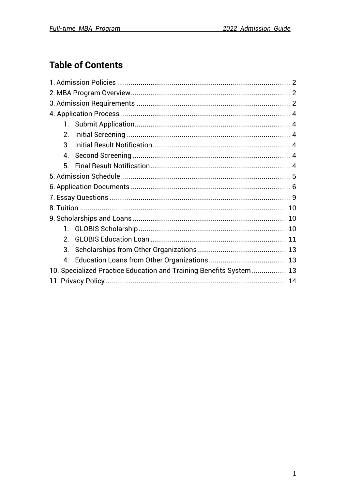# **Table of Contents**

| 2.               |                                                                     |  |  |
|------------------|---------------------------------------------------------------------|--|--|
| $3_{-}$          |                                                                     |  |  |
| $\overline{4}$ . |                                                                     |  |  |
| 5.               |                                                                     |  |  |
|                  |                                                                     |  |  |
|                  |                                                                     |  |  |
|                  |                                                                     |  |  |
|                  |                                                                     |  |  |
|                  |                                                                     |  |  |
|                  |                                                                     |  |  |
| 2 <sub>1</sub>   |                                                                     |  |  |
| 3 <sub>l</sub>   |                                                                     |  |  |
| $\overline{4}$ . |                                                                     |  |  |
|                  | 10. Specialized Practice Education and Training Benefits System  13 |  |  |
|                  |                                                                     |  |  |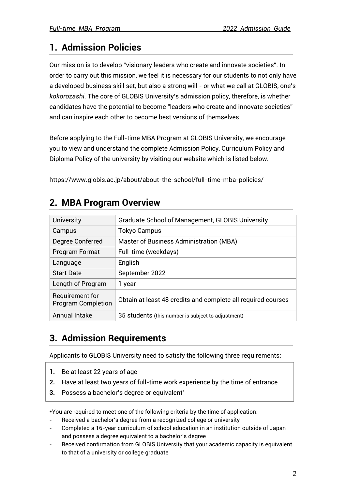# <span id="page-2-0"></span>**1. Admission Policies**

Our mission is to develop "visionary leaders who create and innovate societies". In order to carry out this mission, we feel it is necessary for our students to not only have a developed business skill set, but also a strong will - or what we call at GLOBIS, one's *kokorozashi*. The core of GLOBIS University's admission policy, therefore, is whether candidates have the potential to become "leaders who create and innovate societies" and can inspire each other to become best versions of themselves.

Before applying to the Full-time MBA Program at GLOBIS University, we encourage you to view and understand the complete Admission Policy, Curriculum Policy and Diploma Policy of the university by visiting our website which is listed below.

<span id="page-2-1"></span>https://www.globis.ac.jp/about/about-the-school/full-time-mba-policies/

| <b>University</b>                            | <b>Graduate School of Management, GLOBIS University</b>      |
|----------------------------------------------|--------------------------------------------------------------|
| Campus                                       | <b>Tokyo Campus</b>                                          |
| Degree Conferred                             | Master of Business Administration (MBA)                      |
| <b>Program Format</b>                        | Full-time (weekdays)                                         |
| Language                                     | English                                                      |
| <b>Start Date</b>                            | September 2022                                               |
| Length of Program                            | 1 year                                                       |
| Requirement for<br><b>Program Completion</b> | Obtain at least 48 credits and complete all required courses |
| Annual Intake                                | 35 students (this number is subject to adjustment)           |

## **2. MBA Program Overview**

# <span id="page-2-2"></span>**3. Admission Requirements**

Applicants to GLOBIS University need to satisfy the following three requirements:

- **1.** Be at least 22 years of age
- **2.** Have at least two years of full-time work experience by the time of entrance
- **3.** Possess a bachelor's degree or equivalent\*

\*You are required to meet one of the following criteria by the time of application:

- Received a bachelor's degree from a recognized college or university
- Completed a 16-year curriculum of school education in an institution outside of Japan and possess a degree equivalent to a bachelor's degree
- Received confirmation from GLOBIS University that your academic capacity is equivalent to that of a university or college graduate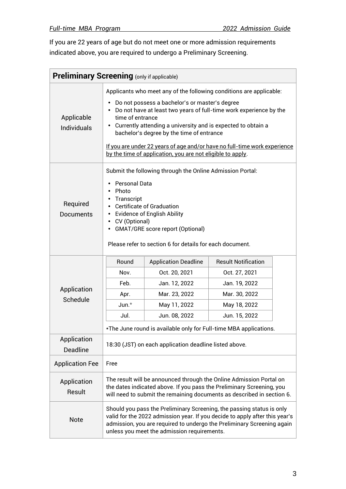If you are 22 years of age but do not meet one or more admission requirements indicated above, you are required to undergo a Preliminary Screening.

| <b>Preliminary Screening (only if applicable)</b>                   |                                                                                                                                                                                                                                                                                                                                                                                                  |                             |                                                                   |  |
|---------------------------------------------------------------------|--------------------------------------------------------------------------------------------------------------------------------------------------------------------------------------------------------------------------------------------------------------------------------------------------------------------------------------------------------------------------------------------------|-----------------------------|-------------------------------------------------------------------|--|
| Applicants who meet any of the following conditions are applicable: |                                                                                                                                                                                                                                                                                                                                                                                                  |                             |                                                                   |  |
| Applicable<br><b>Individuals</b>                                    | Do not possess a bachelor's or master's degree<br>Do not have at least two years of full-time work experience by the<br>time of entrance<br>Currently attending a university and is expected to obtain a<br>bachelor's degree by the time of entrance<br>If you are under 22 years of age and/or have no full-time work experience<br>by the time of application, you are not eligible to apply. |                             |                                                                   |  |
| Required<br>Documents                                               | Submit the following through the Online Admission Portal:<br><b>Personal Data</b><br>Photo<br>Transcript<br><b>Certificate of Graduation</b><br><b>Evidence of English Ability</b><br>CV (Optional)<br><b>GMAT/GRE score report (Optional)</b><br>Please refer to section 6 for details for each document.                                                                                       |                             |                                                                   |  |
|                                                                     | Round                                                                                                                                                                                                                                                                                                                                                                                            | <b>Application Deadline</b> | <b>Result Notification</b>                                        |  |
|                                                                     | Nov.                                                                                                                                                                                                                                                                                                                                                                                             | Oct. 20, 2021               | Oct. 27, 2021                                                     |  |
|                                                                     | Feb.                                                                                                                                                                                                                                                                                                                                                                                             | Jan. 12, 2022               | Jan. 19, 2022                                                     |  |
| Application<br>Schedule                                             | Apr.                                                                                                                                                                                                                                                                                                                                                                                             | Mar. 23, 2022               | Mar. 30, 2022                                                     |  |
|                                                                     | $Jun.*$                                                                                                                                                                                                                                                                                                                                                                                          | May 11, 2022                | May 18, 2022                                                      |  |
|                                                                     | Jul.                                                                                                                                                                                                                                                                                                                                                                                             | Jun. 08, 2022               | Jun. 15, 2022                                                     |  |
|                                                                     |                                                                                                                                                                                                                                                                                                                                                                                                  |                             | *The June round is available only for Full-time MBA applications. |  |
| Application<br><b>Deadline</b>                                      | 18:30 (JST) on each application deadline listed above.                                                                                                                                                                                                                                                                                                                                           |                             |                                                                   |  |
| <b>Application Fee</b>                                              | Free                                                                                                                                                                                                                                                                                                                                                                                             |                             |                                                                   |  |
| Application<br>Result                                               | The result will be announced through the Online Admission Portal on<br>the dates indicated above. If you pass the Preliminary Screening, you<br>will need to submit the remaining documents as described in section 6.                                                                                                                                                                           |                             |                                                                   |  |
| <b>Note</b>                                                         | Should you pass the Preliminary Screening, the passing status is only<br>valid for the 2022 admission year. If you decide to apply after this year's<br>admission, you are required to undergo the Preliminary Screening again<br>unless you meet the admission requirements.                                                                                                                    |                             |                                                                   |  |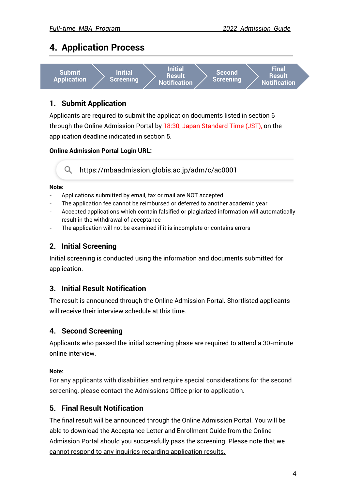## <span id="page-4-0"></span>**4. Application Process**



#### <span id="page-4-1"></span>**1. Submit Application**

Applicants are required to submit the application documents listed in section 6 through the Online Admission Portal by 18:30, Japan Standard Time (JST), on the application deadline indicated in section 5.

#### **Online Admission Portal Login URL:**

https://mbaadmission.globis.ac.jp/adm/c/ac0001

#### **Note:**

- Applications submitted by email, fax or mail are NOT accepted
- The application fee cannot be reimbursed or deferred to another academic year
- Accepted applications which contain falsified or plagiarized information will automatically result in the withdrawal of acceptance
- The application will not be examined if it is incomplete or contains errors

#### <span id="page-4-2"></span>**2. Initial Screening**

Initial screening is conducted using the information and documents submitted for application.

#### <span id="page-4-3"></span>**3. Initial Result Notification**

The result is announced through the Online Admission Portal. Shortlisted applicants will receive their interview schedule at this time.

#### <span id="page-4-4"></span>**4. Second Screening**

Applicants who passed the initial screening phase are required to attend a 30-minute online interview.

#### **Note:**

For any applicants with disabilities and require special considerations for the second screening, please contact the Admissions Office prior to application.

#### <span id="page-4-5"></span>**5. Final Result Notification**

The final result will be announced through the Online Admission Portal. You will be able to download the Acceptance Letter and Enrollment Guide from the Online Admission Portal should you successfully pass the screening. Please note that we cannot respond to any inquiries regarding application results.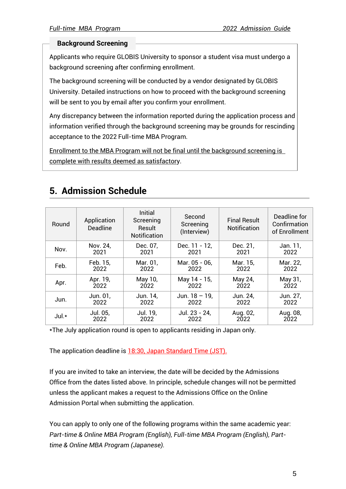#### **Background Screening**

Applicants who require GLOBIS University to sponsor a student visa must undergo a background screening after confirming enrollment.

The background screening will be conducted by a vendor designated by GLOBIS University. Detailed instructions on how to proceed with the background screening will be sent to you by email after you confirm your enrollment.

Any discrepancy between the information reported during the application process and information verified through the background screening may be grounds for rescinding acceptance to the 2022 Full-time MBA Program.

Enrollment to the MBA Program will not be final until the background screening is complete with results deemed as satisfactory.

# <span id="page-5-0"></span>**5. Admission Schedule**

| Round | Application<br><b>Deadline</b> | Initial<br>Screening<br>Result<br><b>Notification</b> | Second<br>Screening<br>(Interview) | <b>Final Result</b><br><b>Notification</b> | Deadline for<br>Confirmation<br>of Enrollment |
|-------|--------------------------------|-------------------------------------------------------|------------------------------------|--------------------------------------------|-----------------------------------------------|
| Nov.  | Nov. 24,                       | Dec. 07,                                              | Dec. 11 - 12,                      | Dec. 21,                                   | Jan. 11,                                      |
|       | 2021                           | 2021                                                  | 2021                               | 2021                                       | 2022                                          |
| Feb.  | Feb. 15,                       | Mar. 01,                                              | Mar. 05 - 06,                      | Mar. 15,                                   | Mar. 22,                                      |
|       | 2022                           | 2022                                                  | 2022                               | 2022                                       | 2022                                          |
| Apr.  | Apr. 19,                       | May 10,                                               | May 14 - 15,                       | May 24,                                    | May 31,                                       |
|       | 2022                           | 2022                                                  | 2022                               | 2022                                       | 2022                                          |
| Jun.  | Jun. 01,                       | Jun. 14,                                              | Jun. $18 - 19$ ,                   | Jun. 24,                                   | Jun. 27,                                      |
|       | 2022                           | 2022                                                  | 2022                               | 2022                                       | 2022                                          |
| Jul.* | Jul. 05,                       | Jul. 19,                                              | Jul. 23 - 24,                      | Aug. 02,                                   | Aug. 08,                                      |
|       | 2022                           | 2022                                                  | 2022                               | 2022                                       | 2022                                          |

\*The July application round is open to applicants residing in Japan only.

The application deadline is 18:30, Japan Standard Time (JST).

If you are invited to take an interview, the date will be decided by the Admissions Office from the dates listed above. In principle, schedule changes will not be permitted unless the applicant makes a request to the Admissions Office on the Online Admission Portal when submitting the application.

You can apply to only one of the following programs within the same academic year: *Part-time & Online MBA Program (English), Full-time MBA Program (English), Parttime & Online MBA Program (Japanese).*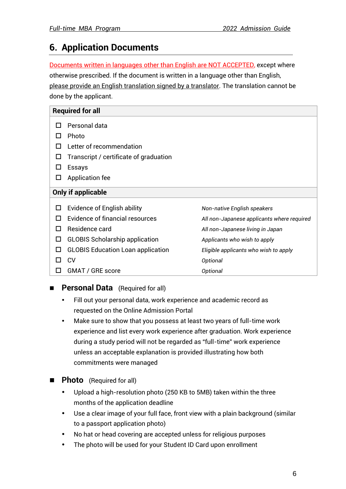# <span id="page-6-0"></span>**6. Application Documents**

Documents written in languages other than English are NOT ACCEPTED, except where otherwise prescribed. If the document is written in a language other than English, please provide an English translation signed by a translator. The translation cannot be done by the applicant.

|    | <b>Required for all</b>                  |                                            |  |  |  |
|----|------------------------------------------|--------------------------------------------|--|--|--|
|    | Personal data                            |                                            |  |  |  |
|    | Photo                                    |                                            |  |  |  |
|    | Letter of recommendation                 |                                            |  |  |  |
| H  | Transcript / certificate of graduation   |                                            |  |  |  |
|    | <b>Essays</b>                            |                                            |  |  |  |
| ப  | Application fee                          |                                            |  |  |  |
|    | Only if applicable                       |                                            |  |  |  |
|    | <b>Evidence of English ability</b>       | Non-native English speakers                |  |  |  |
|    | Evidence of financial resources          | All non-Japanese applicants where required |  |  |  |
| H  | Residence card                           | All non-Japanese living in Japan           |  |  |  |
| ΙI | <b>GLOBIS Scholarship application</b>    | Applicants who wish to apply               |  |  |  |
| ΙI | <b>GLOBIS</b> Education Loan application | Eligible applicants who wish to apply      |  |  |  |
|    | <b>CV</b>                                | Optional                                   |  |  |  |
| ΙI | GMAT / GRE score                         | Optional                                   |  |  |  |

#### **Personal Data** (Required for all)

- Fill out your personal data, work experience and academic record as requested on the Online Admission Portal
- Make sure to show that you possess at least two years of full-time work experience and list every work experience after graduation. Work experience during a study period will not be regarded as "full-time" work experience unless an acceptable explanation is provided illustrating how both commitments were managed
- **Photo** (Required for all)
	- Upload a high-resolution photo (250 KB to 5MB) taken within the three months of the application deadline
	- Use a clear image of your full face, front view with a plain background (similar to a passport application photo)
	- No hat or head covering are accepted unless for religious purposes
	- The photo will be used for your Student ID Card upon enrollment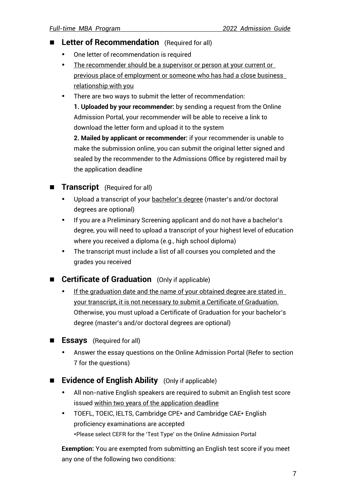- Letter of Recommendation (Required for all)
	- One letter of recommendation is required
	- The recommender should be a supervisor or person at your current or previous place of employment or someone who has had a close business relationship with you
	- There are two ways to submit the letter of recommendation:

**1. Uploaded by your recommender:** by sending a request from the Online Admission Portal, your recommender will be able to receive a link to download the letter form and upload it to the system

**2. Mailed by applicant or recommender:** if your recommender is unable to make the submission online, you can submit the original letter signed and sealed by the recommender to the Admissions Office by registered mail by the application deadline

#### **Transcript** (Required for all)

- Upload a transcript of your bachelor's degree (master's and/or doctoral degrees are optional)
- If you are a Preliminary Screening applicant and do not have a bachelor's degree, you will need to upload a transcript of your highest level of education where you received a diploma (e.g., high school diploma)
- The transcript must include a list of all courses you completed and the grades you received

#### ■ **Certificate of Graduation** (Only if applicable)

- If the graduation date and the name of your obtained degree are stated in your transcript, it is not necessary to submit a Certificate of Graduation. Otherwise, you must upload a Certificate of Graduation for your bachelor's degree (master's and/or doctoral degrees are optional)
- **Essays** (Required for all)
	- Answer the essay questions on the Online Admission Portal (Refer to section 7 for the questions)
- **Evidence of English Ability** (Only if applicable)
	- All non-native English speakers are required to submit an English test score issued within two years of the application deadline
	- TOEFL, TOEIC, IELTS, Cambridge CPE\* and Cambridge CAE\* English proficiency examinations are accepted \*Please select CEFR for the 'Test Type' on the Online Admission Portal

**Exemption:** You are exempted from submitting an English test score if you meet any one of the following two conditions: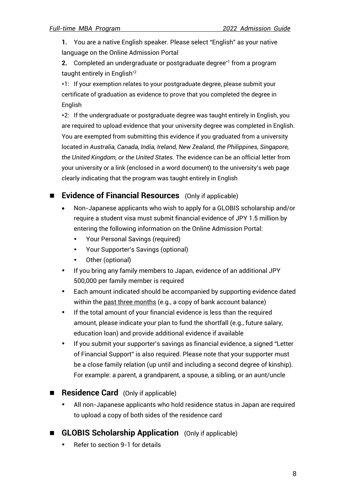**1.** You are a native English speaker. Please select "English" as your native language on the Online Admission Portal

**2.** Completed an undergraduate or postgraduate degree\*1 from a program taught entirely in English<sup>\*2</sup>

\*1: If your exemption relates to your postgraduate degree, please submit your certificate of graduation as evidence to prove that you completed the degree in English

\*2: If the undergraduate or postgraduate degree was taught entirely in English, you are required to upload evidence that your university degree was completed in English. You are exempted from submitting this evidence if you graduated from a university located in *Australia, Canada, India, Ireland, New Zealand, the Philippines, Singapore, the United Kingdom, or the United States*. The evidence can be an official letter from your university or a link (enclosed in a word document) to the university's web page clearly indicating that the program was taught entirely in English

#### ■ **Evidence of Financial Resources** (Only if applicable)

- Non-Japanese applicants who wish to apply for a GLOBIS scholarship and/or require a student visa must submit financial evidence of JPY 1.5 million by entering the following information on the Online Admission Portal:
	- Your Personal Savings (required)
	- Your Supporter's Savings (optional)
	- Other (optional)
- If you bring any family members to Japan, evidence of an additional JPY 500,000 per family member is required
- Each amount indicated should be accompanied by supporting evidence dated within the past three months (e.g., a copy of bank account balance)
- If the total amount of your financial evidence is less than the required amount, please indicate your plan to fund the shortfall (e.g., future salary, education loan) and provide additional evidence if available
- If you submit your supporter's savings as financial evidence, a signed "Letter of Financial Support" is also required. Please note that your supporter must be a close family relation (up until and including a second degree of kinship). For example: a parent, a grandparent, a spouse, a sibling, or an aunt/uncle
- **Residence Card** (Only if applicable)
	- All non-Japanese applicants who hold residence status in Japan are required to upload a copy of both sides of the residence card
- **GLOBIS Scholarship Application** (Only if applicable)
	- Refer to section 9-1 for details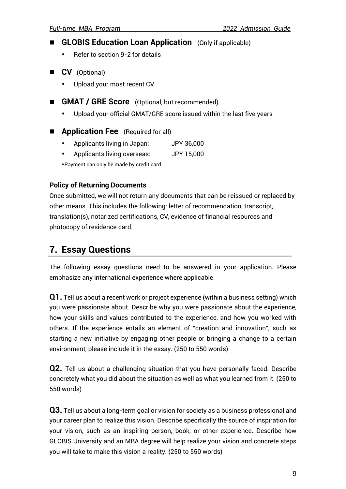- **GLOBIS Education Loan Application** (Only if applicable)
	- Refer to section 9-2 for details
- **CV** (Optional)
	- Upload your most recent CV
- **GMAT / GRE Score** (Optional, but recommended)
	- Upload your official GMAT/GRE score issued within the last five years
- **Application Fee** (Required for all)
	- Applicants living in Japan: JPY 36,000
	- Applicants living overseas: JPY 15,000
	- \*Payment can only be made by credit card

#### **Policy of Returning Documents**

Once submitted, we will not return any documents that can be reissued or replaced by other means. This includes the following: letter of recommendation, transcript, translation(s), notarized certifications, CV, evidence of financial resources and photocopy of residence card.

## <span id="page-9-0"></span>**7. Essay Questions**

The following essay questions need to be answered in your application. Please emphasize any international experience where applicable.

**Q1.** Tell us about a recent work or project experience (within a business setting) which you were passionate about. Describe why you were passionate about the experience, how your skills and values contributed to the experience, and how you worked with others. If the experience entails an element of "creation and innovation", such as starting a new initiative by engaging other people or bringing a change to a certain environment, please include it in the essay. (250 to 550 words)

**Q2.** Tell us about a challenging situation that you have personally faced. Describe concretely what you did about the situation as well as what you learned from it. (250 to 550 words)

**Q3.** Tell us about a long-term goal or vision for society as a business professional and your career plan to realize this vision. Describe specifically the source of inspiration for your vision, such as an inspiring person, book, or other experience. Describe how GLOBIS University and an MBA degree will help realize your vision and concrete steps you will take to make this vision a reality. (250 to 550 words)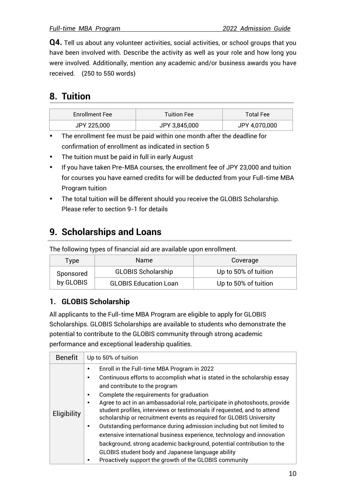**Q4.** Tell us about any volunteer activities, social activities, or school groups that you have been involved with. Describe the activity as well as your role and how long you were involved. Additionally, mention any academic and/or business awards you have received. (250 to 550 words)

# <span id="page-10-0"></span>**8. Tuition**

| <b>Enrollment Fee</b> | <b>Tuition Fee</b> | <b>Total Fee</b> |
|-----------------------|--------------------|------------------|
| JPY 225,000           | JPY 3,845,000      | JPY 4,070,000    |

 The enrollment fee must be paid within one month after the deadline for confirmation of enrollment as indicated in section 5

- The tuition must be paid in full in early August
- If you have taken Pre-MBA courses, the enrollment fee of JPY 23,000 and tuition for courses you have earned credits for will be deducted from your Full-time MBA Program tuition
- The total tuition will be different should you receive the GLOBIS Scholarship. Please refer to section 9-1 for details

# <span id="page-10-1"></span>**9. Scholarships and Loans**

The following types of financial aid are available upon enrollment.

| Type                   | <b>Name</b>                  | Coverage             |
|------------------------|------------------------------|----------------------|
| Sponsored<br>by GLOBIS | <b>GLOBIS Scholarship</b>    | Up to 50% of tuition |
|                        | <b>GLOBIS Education Loan</b> | Up to 50% of tuition |

#### <span id="page-10-2"></span>**1. GLOBIS Scholarship**

All applicants to the Full-time MBA Program are eligible to apply for GLOBIS Scholarships. GLOBIS Scholarships are available to students who demonstrate the potential to contribute to the GLOBIS community through strong academic performance and exceptional leadership qualities.

| <b>Benefit</b> | Up to 50% of tuition                                                                                                                                                                                                                                                                                                                                                                                                                                                                                                                                                                                                                                                                                                                                                                          |
|----------------|-----------------------------------------------------------------------------------------------------------------------------------------------------------------------------------------------------------------------------------------------------------------------------------------------------------------------------------------------------------------------------------------------------------------------------------------------------------------------------------------------------------------------------------------------------------------------------------------------------------------------------------------------------------------------------------------------------------------------------------------------------------------------------------------------|
| Eligibility    | Enroll in the Full-time MBA Program in 2022<br>Continuous efforts to accomplish what is stated in the scholarship essay<br>$\bullet$<br>and contribute to the program<br>Complete the requirements for graduation<br>Agree to act in an ambassadorial role, participate in photoshoots, provide<br>student profiles, interviews or testimonials if requested, and to attend<br>scholarship or recruitment events as required for GLOBIS University<br>Outstanding performance during admission including but not limited to<br>extensive international business experience, technology and innovation<br>background, strong academic background, potential contribution to the<br>GLOBIS student body and Japanese language ability<br>Proactively support the growth of the GLOBIS community |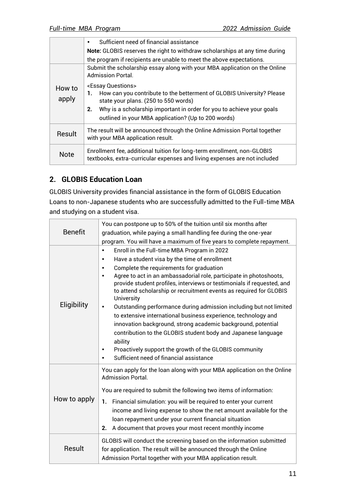|                 | Sufficient need of financial assistance<br>$\bullet$                                                                                                                                                                                    |
|-----------------|-----------------------------------------------------------------------------------------------------------------------------------------------------------------------------------------------------------------------------------------|
|                 | Note: GLOBIS reserves the right to withdraw scholarships at any time during                                                                                                                                                             |
|                 | the program if recipients are unable to meet the above expectations.                                                                                                                                                                    |
|                 | Submit the scholarship essay along with your MBA application on the Online<br><b>Admission Portal.</b>                                                                                                                                  |
| How to<br>apply | <essay questions=""><br/>How can you contribute to the betterment of GLOBIS University? Please<br/>1.<br/>state your plans. (250 to 550 words)<br/>Why is a scholarship important in order for you to achieve your goals<br/>2.</essay> |
|                 | outlined in your MBA application? (Up to 200 words)                                                                                                                                                                                     |
| Result          | The result will be announced through the Online Admission Portal together<br>with your MBA application result.                                                                                                                          |
| <b>Note</b>     | Enrollment fee, additional tuition for long-term enrollment, non-GLOBIS<br>textbooks, extra-curricular expenses and living expenses are not included                                                                                    |

#### <span id="page-11-0"></span>**2. GLOBIS Education Loan**

GLOBIS University provides financial assistance in the form of GLOBIS Education Loans to non-Japanese students who are successfully admitted to the Full-time MBA and studying on a student visa.

|                | You can postpone up to 50% of the tuition until six months after                        |
|----------------|-----------------------------------------------------------------------------------------|
| <b>Benefit</b> | graduation, while paying a small handling fee during the one-year                       |
|                | program. You will have a maximum of five years to complete repayment.                   |
|                | Enroll in the Full-time MBA Program in 2022<br>$\bullet$                                |
|                | Have a student visa by the time of enrollment<br>$\bullet$                              |
|                | Complete the requirements for graduation<br>$\bullet$                                   |
|                | Agree to act in an ambassadorial role, participate in photoshoots,<br>$\bullet$         |
|                | provide student profiles, interviews or testimonials if requested, and                  |
|                | to attend scholarship or recruitment events as required for GLOBIS<br><b>University</b> |
| Eligibility    | Outstanding performance during admission including but not limited<br>$\bullet$         |
|                | to extensive international business experience, technology and                          |
|                | innovation background, strong academic background, potential                            |
|                | contribution to the GLOBIS student body and Japanese language                           |
|                | ability                                                                                 |
|                | Proactively support the growth of the GLOBIS community<br>$\bullet$                     |
|                | Sufficient need of financial assistance<br>$\bullet$                                    |
|                | You can apply for the loan along with your MBA application on the Online                |
|                | <b>Admission Portal.</b>                                                                |
|                | You are required to submit the following two items of information:                      |
| How to apply   | 1. Financial simulation: you will be required to enter your current                     |
|                | income and living expense to show the net amount available for the                      |
|                | loan repayment under your current financial situation                                   |
|                | A document that proves your most recent monthly income<br>2.                            |
|                | GLOBIS will conduct the screening based on the information submitted                    |
| Result         | for application. The result will be announced through the Online                        |
|                | Admission Portal together with your MBA application result.                             |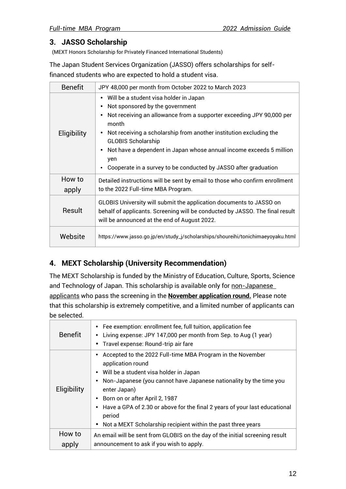#### **3. JASSO Scholarship**

(MEXT Honors Scholarship for Privately Financed International Students)

The Japan Student Services Organization (JASSO) offers scholarships for selffinanced students who are expected to hold a student visa.

| <b>Benefit</b>  | JPY 48,000 per month from October 2022 to March 2023                                                                                                                                                                                                                                                                                                                                                             |  |  |
|-----------------|------------------------------------------------------------------------------------------------------------------------------------------------------------------------------------------------------------------------------------------------------------------------------------------------------------------------------------------------------------------------------------------------------------------|--|--|
| Eligibility     | • Will be a student visa holder in Japan<br>Not sponsored by the government<br>Not receiving an allowance from a supporter exceeding JPY 90,000 per<br>month<br>Not receiving a scholarship from another institution excluding the<br><b>GLOBIS Scholarship</b><br>Not have a dependent in Japan whose annual income exceeds 5 million<br>yen<br>Cooperate in a survey to be conducted by JASSO after graduation |  |  |
| How to<br>apply | Detailed instructions will be sent by email to those who confirm enrollment<br>to the 2022 Full-time MBA Program.                                                                                                                                                                                                                                                                                                |  |  |
| Result          | GLOBIS University will submit the application documents to JASSO on<br>behalf of applicants. Screening will be conducted by JASSO. The final result<br>will be announced at the end of August 2022.                                                                                                                                                                                                              |  |  |
| Website         | https://www.jasso.go.jp/en/study_j/scholarships/shoureihi/tonichimaeyoyaku.html                                                                                                                                                                                                                                                                                                                                  |  |  |

#### **4. MEXT Scholarship (University Recommendation)**

The MEXT Scholarship is funded by the Ministry of Education, Culture, Sports, Science and Technology of Japan. This scholarship is available only for non-Japanese applicants who pass the screening in the **November application round.** Please note that this scholarship is extremely competitive, and a limited number of applicants can be selected.

| <b>Benefit</b> | • Fee exemption: enrollment fee, full tuition, application fee<br>Living expense: JPY 147,000 per month from Sep. to Aug (1 year)<br>Travel expense: Round-trip air fare                                                                                                                                                                                                                                      |
|----------------|---------------------------------------------------------------------------------------------------------------------------------------------------------------------------------------------------------------------------------------------------------------------------------------------------------------------------------------------------------------------------------------------------------------|
| Eligibility    | Accepted to the 2022 Full-time MBA Program in the November<br>application round<br>• Will be a student visa holder in Japan<br>Non-Japanese (you cannot have Japanese nationality by the time you<br>enter Japan)<br>• Born on or after April 2, 1987<br>Have a GPA of 2.30 or above for the final 2 years of your last educational<br>period<br>Not a MEXT Scholarship recipient within the past three years |
| How to         | An email will be sent from GLOBIS on the day of the initial screening result                                                                                                                                                                                                                                                                                                                                  |
| apply          | announcement to ask if you wish to apply.                                                                                                                                                                                                                                                                                                                                                                     |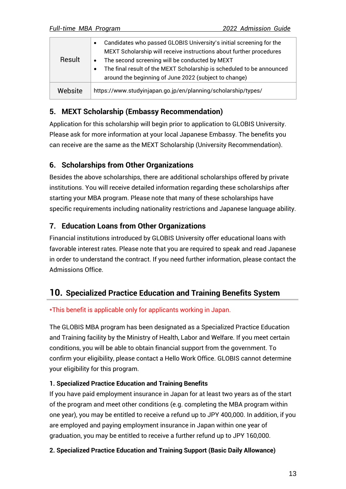| Result  | Candidates who passed GLOBIS University's initial screening for the<br>MEXT Scholarship will receive instructions about further procedures<br>The second screening will be conducted by MEXT |
|---------|----------------------------------------------------------------------------------------------------------------------------------------------------------------------------------------------|
|         | The final result of the MEXT Scholarship is scheduled to be announced                                                                                                                        |
|         | around the beginning of June 2022 (subject to change)                                                                                                                                        |
| Website | https://www.studyinjapan.go.jp/en/planning/scholarship/types/                                                                                                                                |

#### **5. MEXT Scholarship (Embassy Recommendation)**

Application for this scholarship will begin prior to application to GLOBIS University. Please ask for more information at your local Japanese Embassy. The benefits you can receive are the same as the MEXT Scholarship (University Recommendation).

#### <span id="page-13-0"></span>**6. Scholarships from Other Organizations**

Besides the above scholarships, there are additional scholarships offered by private institutions. You will receive detailed information regarding these scholarships after starting your MBA program. Please note that many of these scholarships have specific requirements including nationality restrictions and Japanese language ability.

#### <span id="page-13-1"></span>**7. Education Loans from Other Organizations**

Financial institutions introduced by GLOBIS University offer educational loans with favorable interest rates. Please note that you are required to speak and read Japanese in order to understand the contract. If you need further information, please contact the Admissions Office.

#### <span id="page-13-2"></span>**10. Specialized Practice Education and Training Benefits System**

#### \*This benefit is applicable only for applicants working in Japan.

The GLOBIS MBA program has been designated as a Specialized Practice Education and Training facility by the Ministry of Health, Labor and Welfare. If you meet certain conditions, you will be able to obtain financial support from the government. To confirm your eligibility, please contact a Hello Work Office. GLOBIS cannot determine your eligibility for this program.

#### **1. Specialized Practice Education and Training Benefits**

If you have paid employment insurance in Japan for at least two years as of the start of the program and meet other conditions (e.g. completing the MBA program within one year), you may be entitled to receive a refund up to JPY 400,000. In addition, if you are employed and paying employment insurance in Japan within one year of graduation, you may be entitled to receive a further refund up to JPY 160,000.

#### **2. Specialized Practice Education and Training Support (Basic Daily Allowance)**